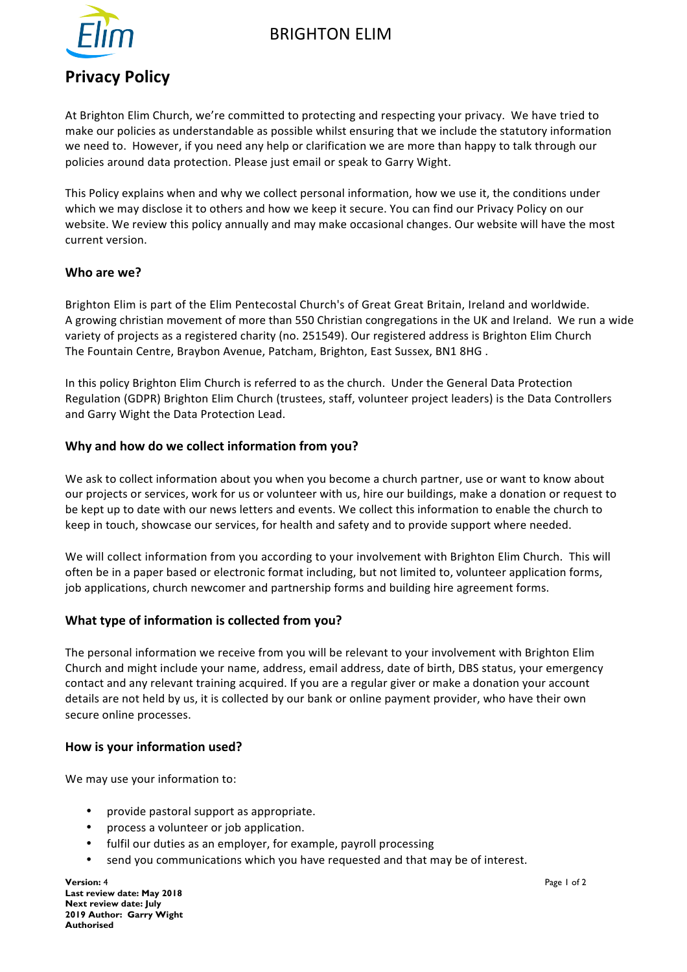

# BRIGHTON ELIM

# **Privacy Policy**

At Brighton Elim Church, we're committed to protecting and respecting your privacy. We have tried to make our policies as understandable as possible whilst ensuring that we include the statutory information we need to. However, if you need any help or clarification we are more than happy to talk through our policies around data protection. Please just email or speak to Garry Wight.

This Policy explains when and why we collect personal information, how we use it, the conditions under which we may disclose it to others and how we keep it secure. You can find our Privacy Policy on our website. We review this policy annually and may make occasional changes. Our website will have the most current version.

## Who are we?

Brighton Elim is part of the Elim Pentecostal Church's of Great Great Britain, Ireland and worldwide. A growing christian movement of more than 550 Christian congregations in the UK and Ireland. We run a wide variety of projects as a registered charity (no. 251549). Our registered address is Brighton Elim Church The Fountain Centre, Braybon Avenue, Patcham, Brighton, East Sussex, BN1 8HG.

In this policy Brighton Elim Church is referred to as the church. Under the General Data Protection Regulation (GDPR) Brighton Elim Church (trustees, staff, volunteer project leaders) is the Data Controllers and Garry Wight the Data Protection Lead.

#### **Why and how do we collect information from you?**

We ask to collect information about you when you become a church partner, use or want to know about our projects or services, work for us or volunteer with us, hire our buildings, make a donation or request to be kept up to date with our news letters and events. We collect this information to enable the church to keep in touch, showcase our services, for health and safety and to provide support where needed.

We will collect information from you according to your involvement with Brighton Elim Church. This will often be in a paper based or electronic format including, but not limited to, volunteer application forms, job applications, church newcomer and partnership forms and building hire agreement forms.

## **What type of information is collected from you?**

The personal information we receive from you will be relevant to your involvement with Brighton Elim Church and might include your name, address, email address, date of birth, DBS status, your emergency contact and any relevant training acquired. If you are a regular giver or make a donation your account details are not held by us, it is collected by our bank or online payment provider, who have their own secure online processes.

#### How is your information used?

We may use your information to:

- provide pastoral support as appropriate.
- process a volunteer or job application.
- fulfil our duties as an employer, for example, payroll processing
- send you communications which you have requested and that may be of interest.

**Version:** 4 **Page 1 of 2 Page 1 of 2 Page 1 of 2 Page 1 of 2 Page 1 of 2 Page 1 of 2 Last review date: May 2018 Next review date: July 2019 Author: Garry Wight Authorised**